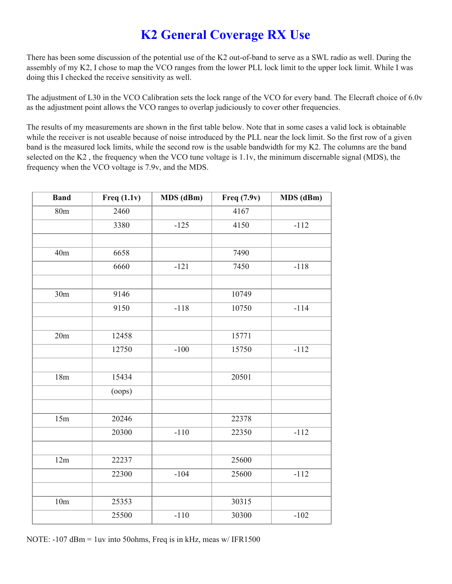## **K2 General Coverage RX Use**

There has been some discussion of the potential use of the K2 out-of-band to serve as a SWL radio as well. During the assembly of my K2, I chose to map the VCO ranges from the lower PLL lock limit to the upper lock limit. While I was doing this I checked the receive sensitivity as well.

The adjustment of L30 in the VCO Calibration sets the lock range of the VCO for every band. The Elecraft choice of 6.0v as the adjustment point allows the VCO ranges to overlap judiciously to cover other frequencies.

The results of my measurements are shown in the first table below. Note that in some cases a valid lock is obtainable while the receiver is not useable because of noise introduced by the PLL near the lock limit. So the first row of a given band is the measured lock limits, while the second row is the usable bandwidth for my K2. The columns are the band selected on the K2 , the frequency when the VCO tune voltage is 1.1v, the minimum discernable signal (MDS), the frequency when the VCO voltage is 7.9v, and the MDS.

| <b>Band</b> | Freq $(1.1v)$ | MDS (dBm) | Freq (7.9v) | MDS (dBm) |
|-------------|---------------|-----------|-------------|-----------|
| 80m         | 2460          |           | 4167        |           |
|             | 3380          | $-125$    | 4150        | $-112$    |
|             |               |           |             |           |
| 40m         | 6658          |           | 7490        |           |
|             | 6660          | $-121$    | 7450        | $-118$    |
|             |               |           |             |           |
| 30m         | 9146          |           | 10749       |           |
|             | 9150          | $-118$    | 10750       | $-114$    |
|             |               |           |             |           |
| 20m         | 12458         |           | 15771       |           |
|             | 12750         | $-100$    | 15750       | $-112$    |
|             |               |           |             |           |
| 18m         | 15434         |           | 20501       |           |
|             | $($ oops $)$  |           |             |           |
|             |               |           |             |           |
| 15m         | 20246         |           | 22378       |           |
|             | 20300         | $-110$    | 22350       | $-112$    |
|             |               |           |             |           |
| 12m         | 22237         |           | 25600       |           |
|             | 22300         | $-104$    | 25600       | $-112$    |
|             |               |           |             |           |
| 10m         | 25353         |           | 30315       |           |
|             | 25500         | $-110$    | 30300       | $-102$    |

NOTE: -107 dBm = 1uv into 50ohms, Freq is in kHz, meas w/ IFR1500